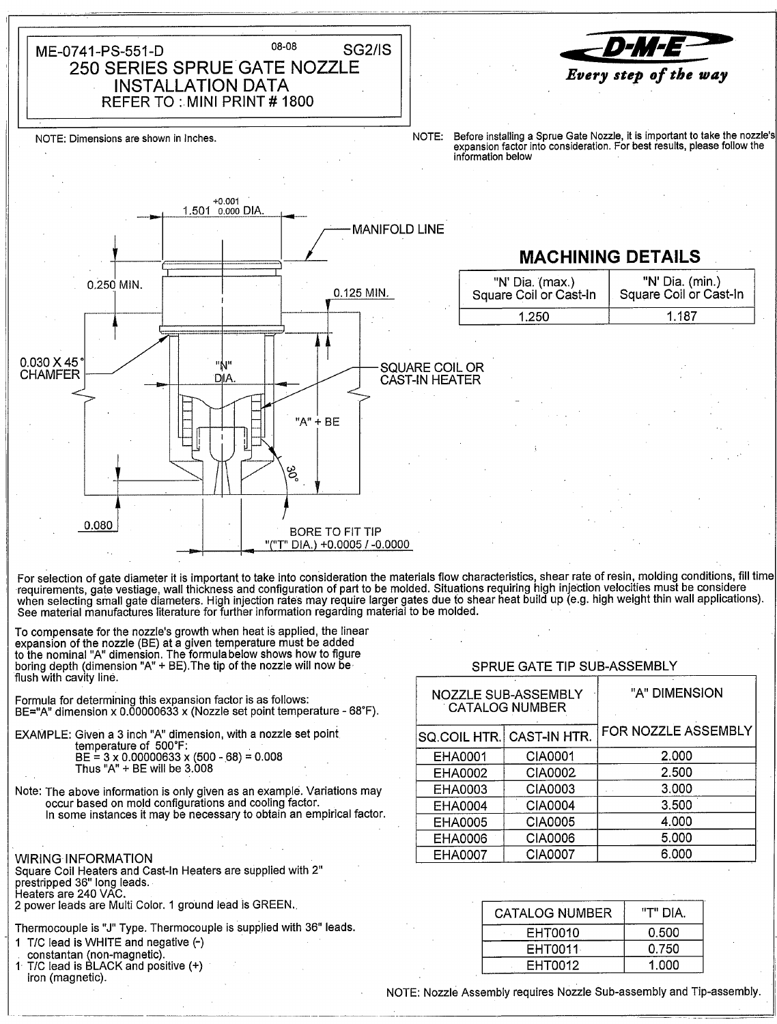08-08 **SG2/IS** ME-0741-PS-551-D 250 SERIES SPRUE GATE NOZZLE **INSTALLATION DATA** REFER TO: MINI PRINT #1800



NOTE: Dimensions are shown in Inches.

Before installing a Sprue Gate Nozzle, it is important to take the nozzle's NOTE: expansion factor into consideration. For best results, please follow the information below



Thermocouple is "J" Type. Thermocouple is supplied with 36" leads.

- 1 T/C lead is WHITE and negative (-)
- constantan (non-magnetic).
- T/C lead is BLACK and positive (+) iron (magnetic).

| CATALOG NUMBER | AIG "ד" |
|----------------|---------|
| EHT0010        | 0.500   |
| EHT0011        | 0.750   |
| EHT0012        | 1.000   |

NOTE: Nozzle Assembly requires Nozzle Sub-assembly and Tip-assembly.